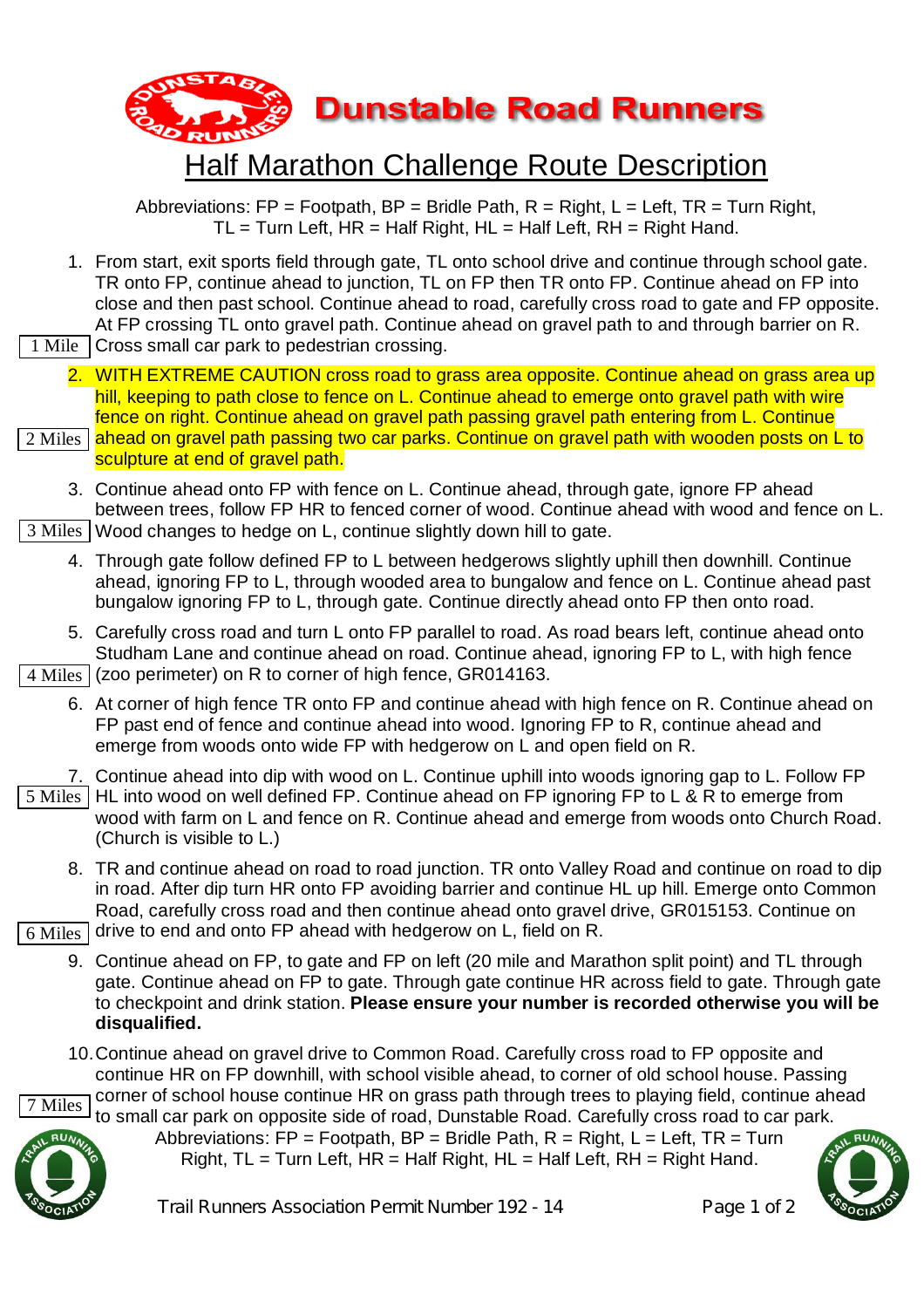

## Half Marathon Challenge Route Description

Abbreviations:  $FP = Footpath$ ,  $BP = Bridge$  Path,  $R = Right$ ,  $L = Left$ ,  $TR = Turn Right$ ,  $TL = Turn Left, HR = Half Right, HL = Half Left, RH = Right Hand.$ 

- 1. From start, exit sports field through gate, TL onto school drive and continue through school gate. TR onto FP, continue ahead to junction, TL on FP then TR onto FP. Continue ahead on FP into close and then past school. Continue ahead to road, carefully cross road to gate and FP opposite. At FP crossing TL onto gravel path. Continue ahead on gravel path to and through barrier on R.
- Cross small car park to pedestrian crossing. 1 Mile
- 2. WITH EXTREME CAUTION cross road to grass area opposite. Continue ahead on grass area up hill, keeping to path close to fence on L. Continue ahead to emerge onto gravel path with wire fence on right. Continue ahead on gravel path passing gravel path entering from L. Continue 2 Miles | <mark>ahead on gravel path passing two car parks. Continue on gravel path with wooden posts on L to</mark> I

sculpture at end of gravel path.

- 3. Continue ahead onto FP with fence on L. Continue ahead, through gate, ignore FP ahead between trees, follow FP HR to fenced corner of wood. Continue ahead with wood and fence on L. 3 Miles | Wood changes to hedge on L, continue slightly down hill to gate.
	- 4. Through gate follow defined FP to L between hedgerows slightly uphill then downhill. Continue ahead, ignoring FP to L, through wooded area to bungalow and fence on L. Continue ahead past bungalow ignoring FP to L, through gate. Continue directly ahead onto FP then onto road.
	- 5. Carefully cross road and turn L onto FP parallel to road. As road bears left, continue ahead onto Studham Lane and continue ahead on road. Continue ahead, ignoring FP to L, with high fence

 $4$  Miles  $\vert$  (zoo perimeter) on R to corner of high fence, GR014163.

- 6. At corner of high fence TR onto FP and continue ahead with high fence on R. Continue ahead on FP past end of fence and continue ahead into wood. Ignoring FP to R, continue ahead and emerge from woods onto wide FP with hedgerow on L and open field on R.
- 7. Continue ahead into dip with wood on L. Continue uphill into woods ignoring gap to L. Follow FP 5 Miles | HL into wood on well defined FP. Continue ahead on FP ignoring FP to L & R to emerge from wood with farm on L and fence on R. Continue ahead and emerge from woods onto Church Road. (Church is visible to L.)
	- 8. TR and continue ahead on road to road junction. TR onto Valley Road and continue on road to dip in road. After dip turn HR onto FP avoiding barrier and continue HL up hill. Emerge onto Common Road, carefully cross road and then continue ahead onto gravel drive, GR015153. Continue on

 $6$  Miles  $\vert$  drive to end and onto FP ahead with hedgerow on L, field on R.

- 9. Continue ahead on FP, to gate and FP on left (20 mile and Marathon split point) and TL through gate. Continue ahead on FP to gate. Through gate continue HR across field to gate. Through gate to checkpoint and drink station. **Please ensure your number is recorded otherwise you will be disqualified.**
- 10.Continue ahead on gravel drive to Common Road. Carefully cross road to FP opposite and continue HR on FP downhill, with school visible ahead, to corner of old school house. Passing

corner of school house continue HR on grass path through trees to playing field, continue ahead to small car park on opposite side of road, Dunstable Road. Carefully cross road to car park. 7 Miles



Abbreviations:  $FP = Footpath$ .  $BP = Bridge$  Path,  $R = Right$ .  $L = Left$ .  $TR = Turn$ Right,  $TL = Turn$  Left,  $HR = Half$  Right,  $HL = Half$  Left,  $RH = Right$  Hand.

Trail Runners Association Permit Number 192 - 14 Page 1 of 2